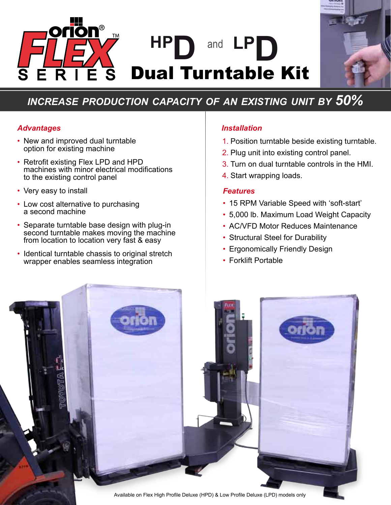



# *increase production capacity of an existing unit by 50%*

# *Advantages Installation*

- New and improved dual turntable option for existing machine
- Retrofit existing Flex LPD and HPD machines with minor electrical modifications to the existing control panel
- Very easy to install
- Low cost alternative to purchasing a second machine
- Separate turntable base design with plug-in second turntable makes moving the machine from location to location very fast & easy
- Identical turntable chassis to original stretch wrapper enables seamless integration

- 1. Position turntable beside existing turntable.
- 2. Plug unit into existing control panel.
- 3. Turn on dual turntable controls in the HMI.
- 4. Start wrapping loads.

# *Features*

- 15 RPM Variable Speed with 'soft-start'
- 5,000 lb. Maximum Load Weight Capacity •
- AC/VFD Motor Reduces Maintenance
- Structural Steel for Durability
- Ergonomically Friendly Design
- Forklift Portable